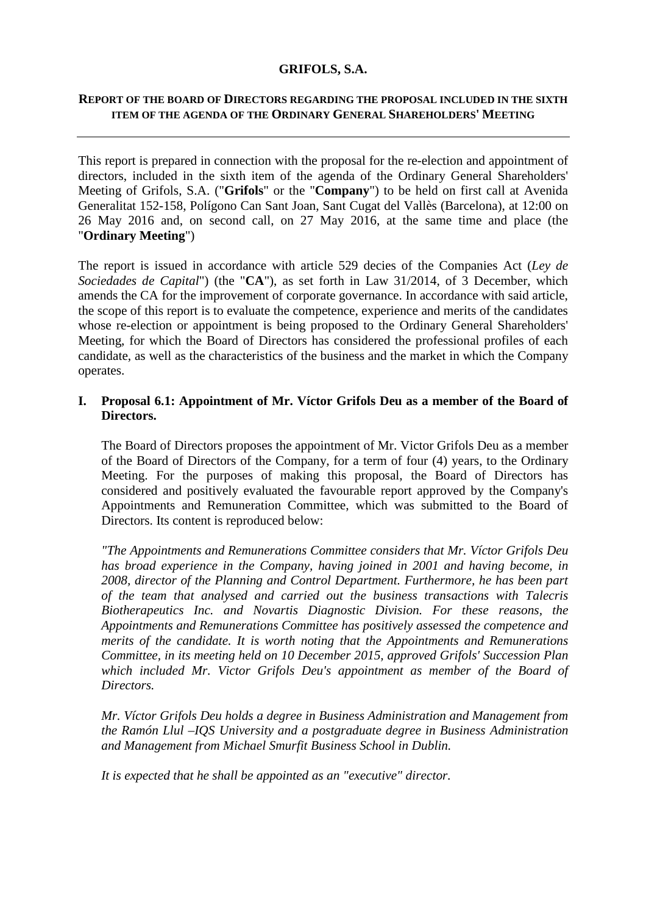### **GRIFOLS, S.A.**

## **REPORT OF THE BOARD OF DIRECTORS REGARDING THE PROPOSAL INCLUDED IN THE SIXTH ITEM OF THE AGENDA OF THE ORDINARY GENERAL SHAREHOLDERS' MEETING**

This report is prepared in connection with the proposal for the re-election and appointment of directors, included in the sixth item of the agenda of the Ordinary General Shareholders' Meeting of Grifols, S.A. ("**Grifols**" or the "**Company**") to be held on first call at Avenida Generalitat 152-158, Polígono Can Sant Joan, Sant Cugat del Vallès (Barcelona), at 12:00 on 26 May 2016 and, on second call, on 27 May 2016, at the same time and place (the "**Ordinary Meeting**")

The report is issued in accordance with article 529 decies of the Companies Act (*Ley de Sociedades de Capital*") (the "**CA**"), as set forth in Law 31/2014, of 3 December, which amends the CA for the improvement of corporate governance. In accordance with said article, the scope of this report is to evaluate the competence, experience and merits of the candidates whose re-election or appointment is being proposed to the Ordinary General Shareholders' Meeting, for which the Board of Directors has considered the professional profiles of each candidate, as well as the characteristics of the business and the market in which the Company operates.

## **I. Proposal 6.1: Appointment of Mr. Víctor Grifols Deu as a member of the Board of Directors.**

The Board of Directors proposes the appointment of Mr. Victor Grifols Deu as a member of the Board of Directors of the Company, for a term of four (4) years, to the Ordinary Meeting. For the purposes of making this proposal, the Board of Directors has considered and positively evaluated the favourable report approved by the Company's Appointments and Remuneration Committee, which was submitted to the Board of Directors. Its content is reproduced below:

*"The Appointments and Remunerations Committee considers that Mr. Víctor Grifols Deu has broad experience in the Company, having joined in 2001 and having become, in 2008, director of the Planning and Control Department. Furthermore, he has been part of the team that analysed and carried out the business transactions with Talecris Biotherapeutics Inc. and Novartis Diagnostic Division. For these reasons, the Appointments and Remunerations Committee has positively assessed the competence and merits of the candidate. It is worth noting that the Appointments and Remunerations Committee, in its meeting held on 10 December 2015, approved Grifols' Succession Plan which included Mr. Victor Grifols Deu's appointment as member of the Board of Directors.*

*Mr. Víctor Grifols Deu holds a degree in Business Administration and Management from the Ramón Llul –IQS University and a postgraduate degree in Business Administration and Management from Michael Smurfit Business School in Dublin.*

*It is expected that he shall be appointed as an "executive" director.*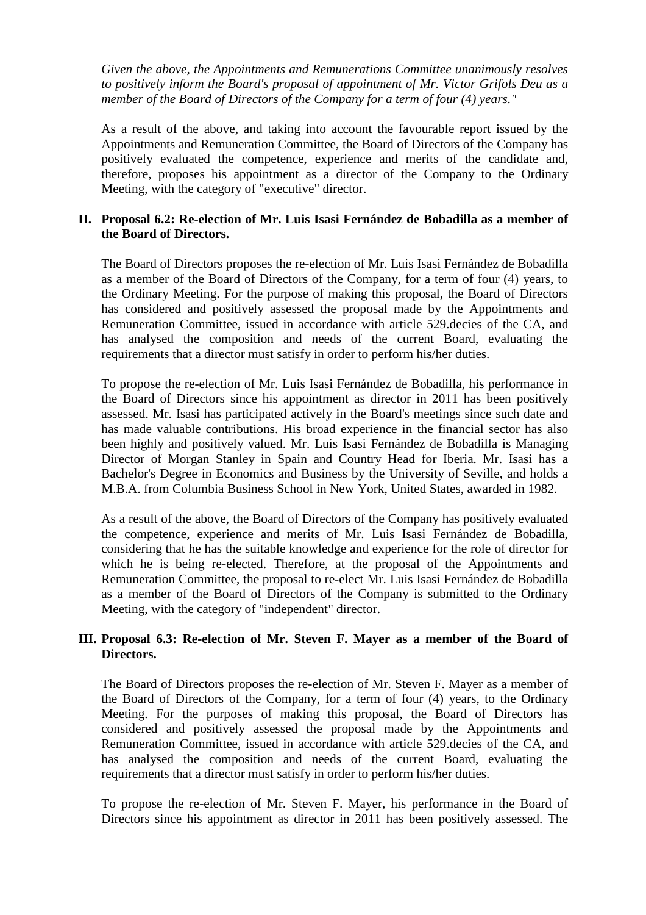*Given the above, the Appointments and Remunerations Committee unanimously resolves to positively inform the Board's proposal of appointment of Mr. Victor Grifols Deu as a member of the Board of Directors of the Company for a term of four (4) years."*

As a result of the above, and taking into account the favourable report issued by the Appointments and Remuneration Committee, the Board of Directors of the Company has positively evaluated the competence, experience and merits of the candidate and, therefore, proposes his appointment as a director of the Company to the Ordinary Meeting, with the category of "executive" director.

## **II. Proposal 6.2: Re-election of Mr. Luis Isasi Fernández de Bobadilla as a member of the Board of Directors.**

The Board of Directors proposes the re-election of Mr. Luis Isasi Fernández de Bobadilla as a member of the Board of Directors of the Company, for a term of four (4) years, to the Ordinary Meeting. For the purpose of making this proposal, the Board of Directors has considered and positively assessed the proposal made by the Appointments and Remuneration Committee, issued in accordance with article 529.decies of the CA, and has analysed the composition and needs of the current Board, evaluating the requirements that a director must satisfy in order to perform his/her duties.

To propose the re-election of Mr. Luis Isasi Fernández de Bobadilla, his performance in the Board of Directors since his appointment as director in 2011 has been positively assessed. Mr. Isasi has participated actively in the Board's meetings since such date and has made valuable contributions. His broad experience in the financial sector has also been highly and positively valued. Mr. Luis Isasi Fernández de Bobadilla is Managing Director of Morgan Stanley in Spain and Country Head for Iberia. Mr. Isasi has a Bachelor's Degree in Economics and Business by the University of Seville, and holds a M.B.A. from Columbia Business School in New York, United States, awarded in 1982.

As a result of the above, the Board of Directors of the Company has positively evaluated the competence, experience and merits of Mr. Luis Isasi Fernández de Bobadilla, considering that he has the suitable knowledge and experience for the role of director for which he is being re-elected. Therefore, at the proposal of the Appointments and Remuneration Committee, the proposal to re-elect Mr. Luis Isasi Fernández de Bobadilla as a member of the Board of Directors of the Company is submitted to the Ordinary Meeting, with the category of "independent" director.

# **III. Proposal 6.3: Re-election of Mr. Steven F. Mayer as a member of the Board of Directors.**

The Board of Directors proposes the re-election of Mr. Steven F. Mayer as a member of the Board of Directors of the Company, for a term of four (4) years, to the Ordinary Meeting. For the purposes of making this proposal, the Board of Directors has considered and positively assessed the proposal made by the Appointments and Remuneration Committee, issued in accordance with article 529.decies of the CA, and has analysed the composition and needs of the current Board, evaluating the requirements that a director must satisfy in order to perform his/her duties.

To propose the re-election of Mr. Steven F. Mayer, his performance in the Board of Directors since his appointment as director in 2011 has been positively assessed. The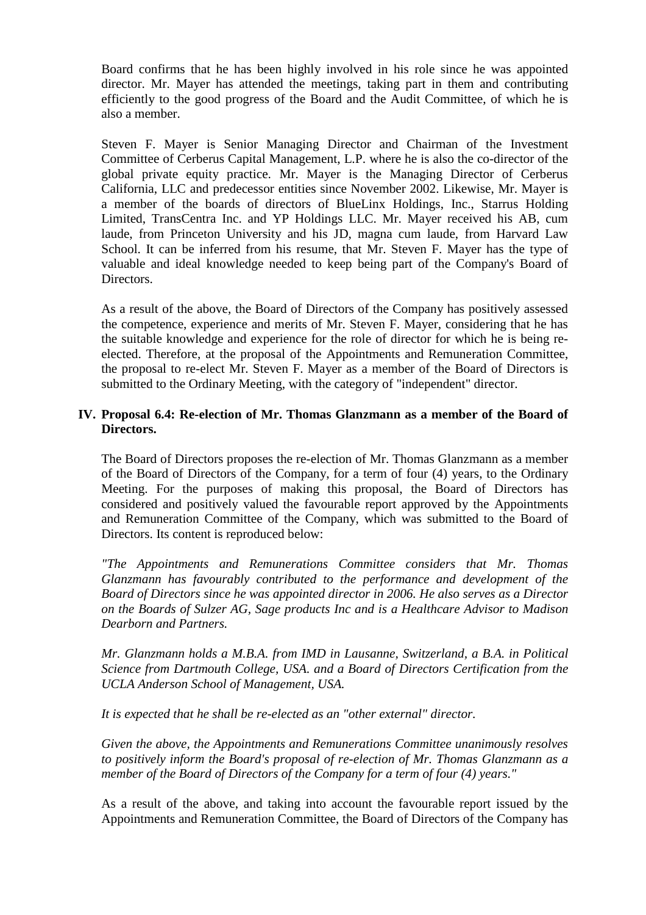Board confirms that he has been highly involved in his role since he was appointed director. Mr. Mayer has attended the meetings, taking part in them and contributing efficiently to the good progress of the Board and the Audit Committee, of which he is also a member.

Steven F. Mayer is Senior Managing Director and Chairman of the Investment Committee of Cerberus Capital Management, L.P. where he is also the co-director of the global private equity practice. Mr. Mayer is the Managing Director of Cerberus California, LLC and predecessor entities since November 2002. Likewise, Mr. Mayer is a member of the boards of directors of BlueLinx Holdings, Inc., Starrus Holding Limited, TransCentra Inc. and YP Holdings LLC. Mr. Mayer received his AB, cum laude, from Princeton University and his JD, magna cum laude, from Harvard Law School. It can be inferred from his resume, that Mr. Steven F. Mayer has the type of valuable and ideal knowledge needed to keep being part of the Company's Board of Directors.

As a result of the above, the Board of Directors of the Company has positively assessed the competence, experience and merits of Mr. Steven F. Mayer, considering that he has the suitable knowledge and experience for the role of director for which he is being reelected. Therefore, at the proposal of the Appointments and Remuneration Committee, the proposal to re-elect Mr. Steven F. Mayer as a member of the Board of Directors is submitted to the Ordinary Meeting, with the category of "independent" director.

## **IV. Proposal 6.4: Re-election of Mr. Thomas Glanzmann as a member of the Board of Directors.**

The Board of Directors proposes the re-election of Mr. Thomas Glanzmann as a member of the Board of Directors of the Company, for a term of four (4) years, to the Ordinary Meeting. For the purposes of making this proposal, the Board of Directors has considered and positively valued the favourable report approved by the Appointments and Remuneration Committee of the Company, which was submitted to the Board of Directors. Its content is reproduced below:

*"The Appointments and Remunerations Committee considers that Mr. Thomas Glanzmann has favourably contributed to the performance and development of the Board of Directors since he was appointed director in 2006. He also serves as a Director on the Boards of Sulzer AG, Sage products Inc and is a Healthcare Advisor to Madison Dearborn and Partners.*

*Mr. Glanzmann holds a M.B.A. from IMD in Lausanne, Switzerland, a B.A. in Political Science from Dartmouth College, USA. and a Board of Directors Certification from the UCLA Anderson School of Management, USA.*

*It is expected that he shall be re-elected as an "other external" director.*

*Given the above, the Appointments and Remunerations Committee unanimously resolves to positively inform the Board's proposal of re-election of Mr. Thomas Glanzmann as a member of the Board of Directors of the Company for a term of four (4) years."*

As a result of the above, and taking into account the favourable report issued by the Appointments and Remuneration Committee, the Board of Directors of the Company has